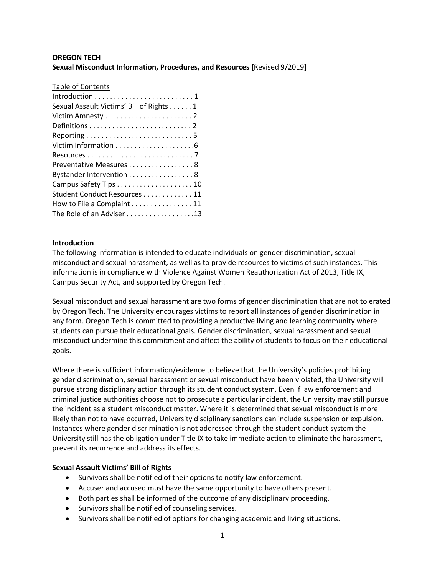# **OREGON TECH Sexual Misconduct Information, Procedures, and Resources [**Revised 9/2019]

#### Table of Contents

| Introduction $\ldots \ldots \ldots \ldots \ldots \ldots \ldots 1$ |
|-------------------------------------------------------------------|
|                                                                   |
| Sexual Assault Victims' Bill of Rights 1                          |
|                                                                   |
|                                                                   |
|                                                                   |
|                                                                   |
|                                                                   |
| Preventative Measures 8                                           |
| Bystander Intervention 8                                          |
|                                                                   |
| Student Conduct Resources 11                                      |
| How to File a Complaint 11                                        |
| The Role of an Adviser 13                                         |

#### **Introduction**

The following information is intended to educate individuals on gender discrimination, sexual misconduct and sexual harassment, as well as to provide resources to victims of such instances. This information is in compliance with Violence Against Women Reauthorization Act of 2013, Title IX, Campus Security Act, and supported by Oregon Tech.

Sexual misconduct and sexual harassment are two forms of gender discrimination that are not tolerated by Oregon Tech. The University encourages victims to report all instances of gender discrimination in any form. Oregon Tech is committed to providing a productive living and learning community where students can pursue their educational goals. Gender discrimination, sexual harassment and sexual misconduct undermine this commitment and affect the ability of students to focus on their educational goals.

Where there is sufficient information/evidence to believe that the University's policies prohibiting gender discrimination, sexual harassment or sexual misconduct have been violated, the University will pursue strong disciplinary action through its student conduct system. Even if law enforcement and criminal justice authorities choose not to prosecute a particular incident, the University may still pursue the incident as a student misconduct matter. Where it is determined that sexual misconduct is more likely than not to have occurred, University disciplinary sanctions can include suspension or expulsion. Instances where gender discrimination is not addressed through the student conduct system the University still has the obligation under Title IX to take immediate action to eliminate the harassment, prevent its recurrence and address its effects.

### **Sexual Assault Victims' Bill of Rights**

- Survivors shall be notified of their options to notify law enforcement.
- Accuser and accused must have the same opportunity to have others present.
- Both parties shall be informed of the outcome of any disciplinary proceeding.
- Survivors shall be notified of counseling services.
- Survivors shall be notified of options for changing academic and living situations.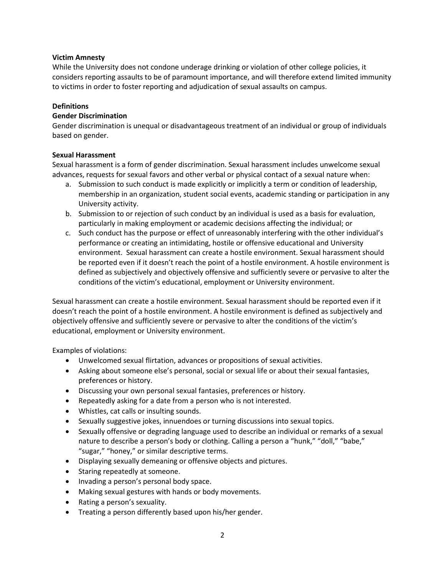### **Victim Amnesty**

While the University does not condone underage drinking or violation of other college policies, it considers reporting assaults to be of paramount importance, and will therefore extend limited immunity to victims in order to foster reporting and adjudication of sexual assaults on campus.

# **Definitions**

# **Gender Discrimination**

Gender discrimination is unequal or disadvantageous treatment of an individual or group of individuals based on gender.

# **Sexual Harassment**

Sexual harassment is a form of gender discrimination. Sexual harassment includes unwelcome sexual advances, requests for sexual favors and other verbal or physical contact of a sexual nature when:

- a. Submission to such conduct is made explicitly or implicitly a term or condition of leadership, membership in an organization, student social events, academic standing or participation in any University activity.
- b. Submission to or rejection of such conduct by an individual is used as a basis for evaluation, particularly in making employment or academic decisions affecting the individual; or
- c. Such conduct has the purpose or effect of unreasonably interfering with the other individual's performance or creating an intimidating, hostile or offensive educational and University environment. Sexual harassment can create a hostile environment. Sexual harassment should be reported even if it doesn't reach the point of a hostile environment. A hostile environment is defined as subjectively and objectively offensive and sufficiently severe or pervasive to alter the conditions of the victim's educational, employment or University environment.

Sexual harassment can create a hostile environment. Sexual harassment should be reported even if it doesn't reach the point of a hostile environment. A hostile environment is defined as subjectively and objectively offensive and sufficiently severe or pervasive to alter the conditions of the victim's educational, employment or University environment.

Examples of violations:

- Unwelcomed sexual flirtation, advances or propositions of sexual activities.
- Asking about someone else's personal, social or sexual life or about their sexual fantasies, preferences or history.
- Discussing your own personal sexual fantasies, preferences or history.
- Repeatedly asking for a date from a person who is not interested.
- Whistles, cat calls or insulting sounds.
- Sexually suggestive jokes, innuendoes or turning discussions into sexual topics.
- Sexually offensive or degrading language used to describe an individual or remarks of a sexual nature to describe a person's body or clothing. Calling a person a "hunk," "doll," "babe," "sugar," "honey," or similar descriptive terms.
- Displaying sexually demeaning or offensive objects and pictures.
- Staring repeatedly at someone.
- Invading a person's personal body space.
- Making sexual gestures with hands or body movements.
- Rating a person's sexuality.
- Treating a person differently based upon his/her gender.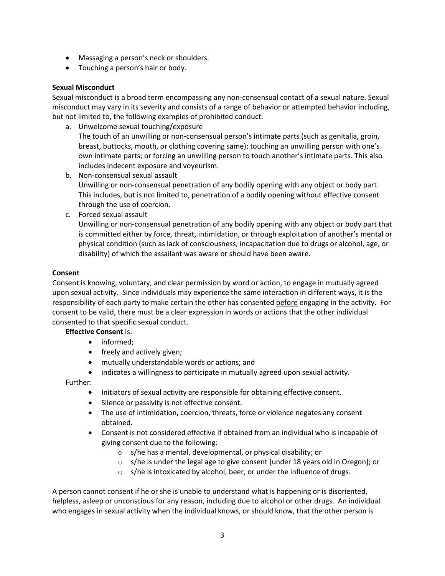- Massaging a person's neck or shoulders.
- Touching a person's hair or body.

#### **Sexual Misconduct**

Sexual misconduct is a broad term encompassing any non-consensual contact of a sexual nature. Sexual misconduct may vary in its severity and consists of a range of behavior or attempted behavior including, but not limited to, the following examples of prohibited conduct:

- a. Unwelcome sexual touching/exposure The touch of an unwilling or non-consensual person's intimate parts (such as genitalia, groin, breast, buttocks, mouth, or clothing covering same); touching an unwilling person with one's own intimate parts; or forcing an unwilling person to touch another's intimate parts. This also includes indecent exposure and voyeurism.
- b. Non-consensual sexual assault Unwilling or non-consensual penetration of any bodily opening with any object or body part. This includes, but is not limited to, penetration of a bodily opening without effective consent through the use of coercion.
- c. Forced sexual assault

Unwilling or non-consensual penetration of any bodily opening with any object or body part that is committed either by force, threat, intimidation, or through exploitation of another's mental or physical condition (such as lack of consciousness, incapacitation due to drugs or alcohol, age, or disability) of which the assailant was aware or should have been aware.

#### **Consent**

Consent is knowing, voluntary, and clear permission by word or action, to engage in mutually agreed upon sexual activity. Since individuals may experience the same interaction in different ways, it is the responsibility of each party to make certain the other has consented before engaging in the activity. For consent to be valid, there must be a clear expression in words or actions that the other individual consented to that specific sexual conduct.

### **Effective Consent** is:

- informed:
- freely and actively given;
- mutually understandable words or actions; and
- indicates a willingness to participate in mutually agreed upon sexual activity.

Further:

- Initiators of sexual activity are responsible for obtaining effective consent.
- Silence or passivity is not effective consent.
- The use of intimidation, coercion, threats, force or violence negates any consent obtained.
- Consent is not considered effective if obtained from an individual who is incapable of giving consent due to the following:
	- o s/he has a mental, developmental, or physical disability; or
	- $\circ$  s/he is under the legal age to give consent [under 18 years old in Oregon]; or
	- o s/he is intoxicated by alcohol, beer, or under the influence of drugs.

A person cannot consent if he or she is unable to understand what is happening or is disoriented, helpless, asleep or unconscious for any reason, including due to alcohol or other drugs. An individual who engages in sexual activity when the individual knows, or should know, that the other person is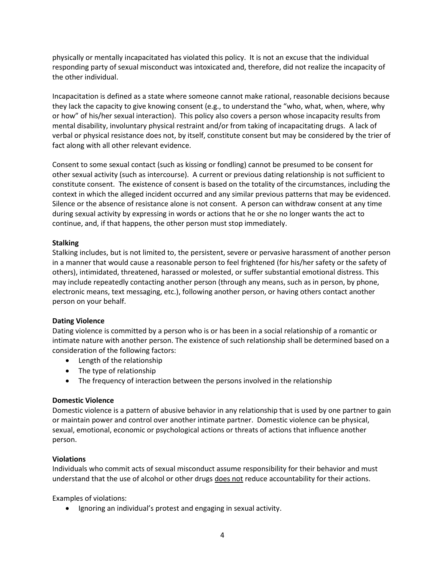physically or mentally incapacitated has violated this policy. It is not an excuse that the individual responding party of sexual misconduct was intoxicated and, therefore, did not realize the incapacity of the other individual.

Incapacitation is defined as a state where someone cannot make rational, reasonable decisions because they lack the capacity to give knowing consent (e.g., to understand the "who, what, when, where, why or how" of his/her sexual interaction). This policy also covers a person whose incapacity results from mental disability, involuntary physical restraint and/or from taking of incapacitating drugs. A lack of verbal or physical resistance does not, by itself, constitute consent but may be considered by the trier of fact along with all other relevant evidence.

Consent to some sexual contact (such as kissing or fondling) cannot be presumed to be consent for other sexual activity (such as intercourse). A current or previous dating relationship is not sufficient to constitute consent. The existence of consent is based on the totality of the circumstances, including the context in which the alleged incident occurred and any similar previous patterns that may be evidenced. Silence or the absence of resistance alone is not consent. A person can withdraw consent at any time during sexual activity by expressing in words or actions that he or she no longer wants the act to continue, and, if that happens, the other person must stop immediately.

### **Stalking**

Stalking includes, but is not limited to, the persistent, severe or pervasive harassment of another person in a manner that would cause a reasonable person to feel frightened (for his/her safety or the safety of others), intimidated, threatened, harassed or molested, or suffer substantial emotional distress. This may include repeatedly contacting another person (through any means, such as in person, by phone, electronic means, text messaging, etc.), following another person, or having others contact another person on your behalf.

### **Dating Violence**

Dating violence is committed by a person who is or has been in a social relationship of a romantic or intimate nature with another person. The existence of such relationship shall be determined based on a consideration of the following factors:

- Length of the relationship
- The type of relationship
- The frequency of interaction between the persons involved in the relationship

### **Domestic Violence**

Domestic violence is a pattern of abusive behavior in any relationship that is used by one partner to gain or maintain power and control over another intimate partner. Domestic violence can be physical, sexual, emotional, economic or psychological actions or threats of actions that influence another person.

### **Violations**

Individuals who commit acts of sexual misconduct assume responsibility for their behavior and must understand that the use of alcohol or other drugs does not reduce accountability for their actions.

Examples of violations:

Ignoring an individual's protest and engaging in sexual activity.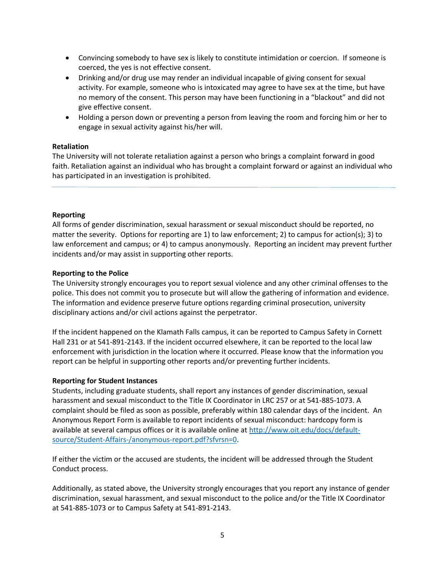- Convincing somebody to have sex is likely to constitute intimidation or coercion. If someone is coerced, the yes is not effective consent.
- Drinking and/or drug use may render an individual incapable of giving consent for sexual activity. For example, someone who is intoxicated may agree to have sex at the time, but have no memory of the consent. This person may have been functioning in a "blackout" and did not give effective consent.
- Holding a person down or preventing a person from leaving the room and forcing him or her to engage in sexual activity against his/her will.

#### **Retaliation**

The University will not tolerate retaliation against a person who brings a complaint forward in good faith. Retaliation against an individual who has brought a complaint forward or against an individual who has participated in an investigation is prohibited.

#### **Reporting**

All forms of gender discrimination, sexual harassment or sexual misconduct should be reported, no matter the severity. Options for reporting are 1) to law enforcement; 2) to campus for action(s); 3) to law enforcement and campus; or 4) to campus anonymously. Reporting an incident may prevent further incidents and/or may assist in supporting other reports.

#### **Reporting to the Police**

The University strongly encourages you to report sexual violence and any other criminal offenses to the police. This does not commit you to prosecute but will allow the gathering of information and evidence. The information and evidence preserve future options regarding criminal prosecution, university disciplinary actions and/or civil actions against the perpetrator.

If the incident happened on the Klamath Falls campus, it can be reported to Campus Safety in Cornett Hall 231 or at 541-891-2143. If the incident occurred elsewhere, it can be reported to the local law enforcement with jurisdiction in the location where it occurred. Please know that the information you report can be helpful in supporting other reports and/or preventing further incidents.

#### **Reporting for Student Instances**

Students, including graduate students, shall report any instances of gender discrimination, sexual harassment and sexual misconduct to the Title IX Coordinator in LRC 257 or at 541-885-1073. A complaint should be filed as soon as possible, preferably within 180 calendar days of the incident. An Anonymous Report Form is available to report incidents of sexual misconduct: hardcopy form is available at several campus offices or it is available online at [http://www.oit.edu/docs/default](http://www.oit.edu/docs/default-source/Student-Affairs-/anonymous-report.pdf?sfvrsn=0)[source/Student-Affairs-/anonymous-report.pdf?sfvrsn=0.](http://www.oit.edu/docs/default-source/Student-Affairs-/anonymous-report.pdf?sfvrsn=0)

If either the victim or the accused are students, the incident will be addressed through the Student Conduct process.

Additionally, as stated above, the University strongly encourages that you report any instance of gender discrimination, sexual harassment, and sexual misconduct to the police and/or the Title IX Coordinator at 541-885-1073 or to Campus Safety at 541-891-2143.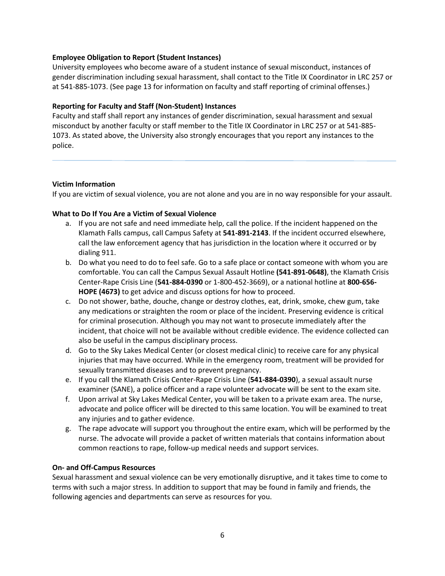### **Employee Obligation to Report (Student Instances)**

University employees who become aware of a student instance of sexual misconduct, instances of gender discrimination including sexual harassment, shall contact to the Title IX Coordinator in LRC 257 or at 541-885-1073. (See page 13 for information on faculty and staff reporting of criminal offenses.)

#### **Reporting for Faculty and Staff (Non-Student) Instances**

Faculty and staff shall report any instances of gender discrimination, sexual harassment and sexual misconduct by another faculty or staff member to the Title IX Coordinator in LRC 257 or at 541-885- 1073. As stated above, the University also strongly encourages that you report any instances to the police.

#### **Victim Information**

If you are victim of sexual violence, you are not alone and you are in no way responsible for your assault.

#### **What to Do If You Are a Victim of Sexual Violence**

- a. If you are not safe and need immediate help, call the police. If the incident happened on the Klamath Falls campus, call Campus Safety at **541-891-2143**. If the incident occurred elsewhere, call the law enforcement agency that has jurisdiction in the location where it occurred or by dialing 911.
- b. Do what you need to do to feel safe. Go to a safe place or contact someone with whom you are comfortable. You can call the Campus Sexual Assault Hotline **(541-891-0648)**, the Klamath Crisis Center-Rape Crisis Line (**541-884-0390** or 1-800-452-3669), or a national hotline at **800-656- HOPE (4673)** to get advice and discuss options for how to proceed.
- c. Do not shower, bathe, douche, change or destroy clothes, eat, drink, smoke, chew gum, take any medications or straighten the room or place of the incident. Preserving evidence is critical for criminal prosecution. Although you may not want to prosecute immediately after the incident, that choice will not be available without credible evidence. The evidence collected can also be useful in the campus disciplinary process.
- d. Go to the Sky Lakes Medical Center (or closest medical clinic) to receive care for any physical injuries that may have occurred. While in the emergency room, treatment will be provided for sexually transmitted diseases and to prevent pregnancy.
- e. If you call the Klamath Crisis Center-Rape Crisis Line (**541-884-0390**), a sexual assault nurse examiner (SANE), a police officer and a rape volunteer advocate will be sent to the exam site.
- f. Upon arrival at Sky Lakes Medical Center, you will be taken to a private exam area. The nurse, advocate and police officer will be directed to this same location. You will be examined to treat any injuries and to gather evidence.
- g. The rape advocate will support you throughout the entire exam, which will be performed by the nurse. The advocate will provide a packet of written materials that contains information about common reactions to rape, follow-up medical needs and support services.

#### **On- and Off-Campus Resources**

Sexual harassment and sexual violence can be very emotionally disruptive, and it takes time to come to terms with such a major stress. In addition to support that may be found in family and friends, the following agencies and departments can serve as resources for you.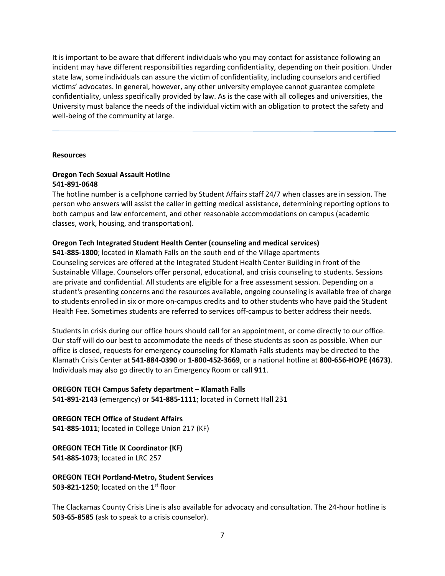It is important to be aware that different individuals who you may contact for assistance following an incident may have different responsibilities regarding confidentiality, depending on their position. Under state law, some individuals can assure the victim of confidentiality, including counselors and certified victims' advocates. In general, however, any other university employee cannot guarantee complete confidentiality, unless specifically provided by law. As is the case with all colleges and universities, the University must balance the needs of the individual victim with an obligation to protect the safety and well-being of the community at large.

#### **Resources**

### **Oregon Tech Sexual Assault Hotline 541-891-0648**

The hotline number is a cellphone carried by Student Affairs staff 24/7 when classes are in session. The person who answers will assist the caller in getting medical assistance, determining reporting options to both campus and law enforcement, and other reasonable accommodations on campus (academic classes, work, housing, and transportation).

#### **Oregon Tech Integrated Student Health Center (counseling and medical services)**

**541-885-1800**; located in Klamath Falls on the south end of the Village apartments Counseling services are offered at the Integrated Student Health Center Building in front of the Sustainable Village. Counselors offer personal, educational, and crisis counseling to students. Sessions are private and confidential. All students are eligible for a free assessment session. Depending on a student's presenting concerns and the resources available, ongoing counseling is available free of charge to students enrolled in six or more on-campus credits and to other students who have paid the Student Health Fee. Sometimes students are referred to services off-campus to better address their needs.

Students in crisis during our office hours should call for an appointment, or come directly to our office. Our staff will do our best to accommodate the needs of these students as soon as possible. When our office is closed, requests for emergency counseling for Klamath Falls students may be directed to the Klamath Crisis Center at **541-884-0390** or **1-800-452-3669**, or a national hotline at **800-656-HOPE (4673)**. Individuals may also go directly to an Emergency Room or call **911**.

**OREGON TECH Campus Safety department – Klamath Falls 541-891-2143** (emergency) or **541-885-1111**; located in Cornett Hall 231

**OREGON TECH Office of Student Affairs 541-885-1011**; located in College Union 217 (KF)

**OREGON TECH Title IX Coordinator (KF) 541-885-1073**; located in LRC 257

**OREGON TECH Portland-Metro, Student Services 503-821-1250**; located on the 1<sup>st</sup> floor

The Clackamas County Crisis Line is also available for advocacy and consultation. The 24-hour hotline is **503-65-8585** (ask to speak to a crisis counselor).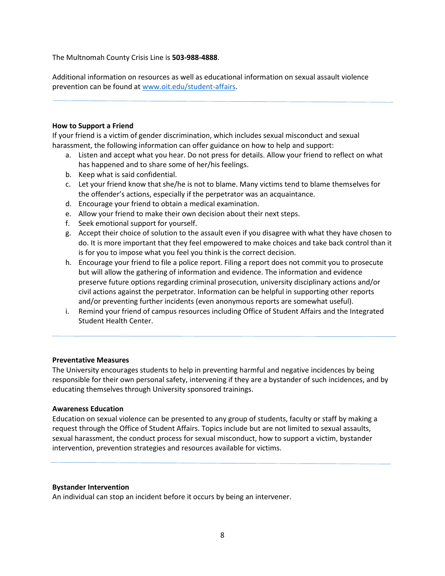The Multnomah County Crisis Line is **503-988-4888**.

Additional information on resources as well as educational information on sexual assault violence prevention can be found at [www.oit.edu/student-affairs.](http://www.oit.edu/student-affairs)

#### **How to Support a Friend**

If your friend is a victim of gender discrimination, which includes sexual misconduct and sexual harassment, the following information can offer guidance on how to help and support:

- a. Listen and accept what you hear. Do not press for details. Allow your friend to reflect on what has happened and to share some of her/his feelings.
- b. Keep what is said confidential.
- c. Let your friend know that she/he is not to blame. Many victims tend to blame themselves for the offender's actions, especially if the perpetrator was an acquaintance.
- d. Encourage your friend to obtain a medical examination.
- e. Allow your friend to make their own decision about their next steps.
- f. Seek emotional support for yourself.
- g. Accept their choice of solution to the assault even if you disagree with what they have chosen to do. It is more important that they feel empowered to make choices and take back control than it is for you to impose what you feel you think is the correct decision.
- h. Encourage your friend to file a police report. Filing a report does not commit you to prosecute but will allow the gathering of information and evidence. The information and evidence preserve future options regarding criminal prosecution, university disciplinary actions and/or civil actions against the perpetrator. Information can be helpful in supporting other reports and/or preventing further incidents (even anonymous reports are somewhat useful).
- i. Remind your friend of campus resources including Office of Student Affairs and the Integrated Student Health Center.

#### **Preventative Measures**

The University encourages students to help in preventing harmful and negative incidences by being responsible for their own personal safety, intervening if they are a bystander of such incidences, and by educating themselves through University sponsored trainings.

#### **Awareness Education**

Education on sexual violence can be presented to any group of students, faculty or staff by making a request through the Office of Student Affairs. Topics include but are not limited to sexual assaults, sexual harassment, the conduct process for sexual misconduct, how to support a victim, bystander intervention, prevention strategies and resources available for victims.

#### **Bystander Intervention**

An individual can stop an incident before it occurs by being an intervener.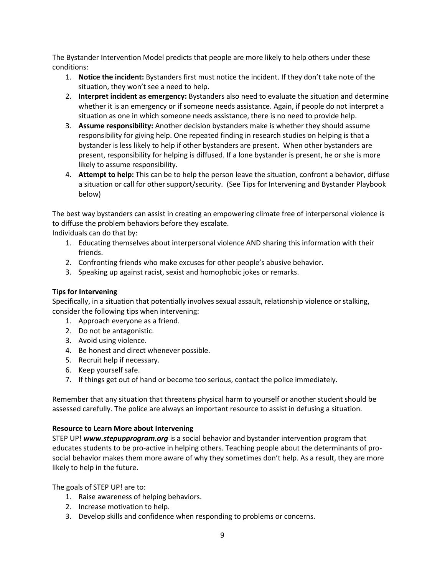The Bystander Intervention Model predicts that people are more likely to help others under these conditions:

- 1. **Notice the incident:** Bystanders first must notice the incident. If they don't take note of the situation, they won't see a need to help.
- 2. **Interpret incident as emergency:** Bystanders also need to evaluate the situation and determine whether it is an emergency or if someone needs assistance. Again, if people do not interpret a situation as one in which someone needs assistance, there is no need to provide help.
- 3. **Assume responsibility:** Another decision bystanders make is whether they should assume responsibility for giving help. One repeated finding in research studies on helping is that a bystander is less likely to help if other bystanders are present. When other bystanders are present, responsibility for helping is diffused. If a lone bystander is present, he or she is more likely to assume responsibility.
- 4. **Attempt to help:** This can be to help the person leave the situation, confront a behavior, diffuse a situation or call for other support/security. (See Tips for Intervening and Bystander Playbook below)

The best way bystanders can assist in creating an empowering climate free of interpersonal violence is to diffuse the problem behaviors before they escalate.

Individuals can do that by:

- 1. Educating themselves about interpersonal violence AND sharing this information with their friends.
- 2. Confronting friends who make excuses for other people's abusive behavior.
- 3. Speaking up against racist, sexist and homophobic jokes or remarks.

# **Tips for Intervening**

Specifically, in a situation that potentially involves sexual assault, relationship violence or stalking, consider the following tips when intervening:

- 1. Approach everyone as a friend.
- 2. Do not be antagonistic.
- 3. Avoid using violence.
- 4. Be honest and direct whenever possible.
- 5. Recruit help if necessary.
- 6. Keep yourself safe.
- 7. If things get out of hand or become too serious, contact the police immediately.

Remember that any situation that threatens physical harm to yourself or another student should be assessed carefully. The police are always an important resource to assist in defusing a situation.

### **Resource to Learn More about Intervening**

STEP UP! *www.stepupprogram.org* is a social behavior and bystander intervention program that educates students to be pro-active in helping others. Teaching people about the determinants of prosocial behavior makes them more aware of why they sometimes don't help. As a result, they are more likely to help in the future.

The goals of STEP UP! are to:

- 1. Raise awareness of helping behaviors.
- 2. Increase motivation to help.
- 3. Develop skills and confidence when responding to problems or concerns.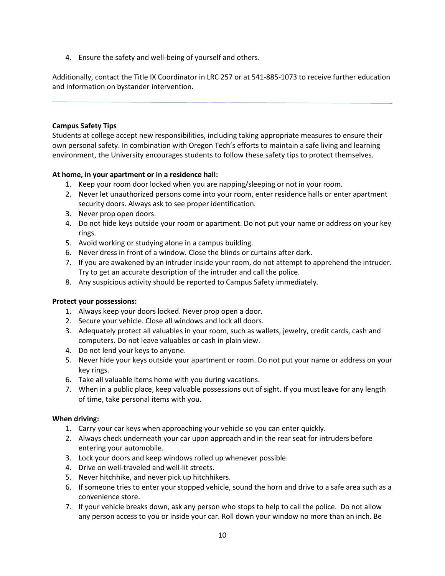4. Ensure the safety and well-being of yourself and others.

Additionally, contact the Title IX Coordinator in LRC 257 or at 541-885-1073 to receive further education and information on bystander intervention.

# **Campus Safety Tips**

Students at college accept new responsibilities, including taking appropriate measures to ensure their own personal safety. In combination with Oregon Tech's efforts to maintain a safe living and learning environment, the University encourages students to follow these safety tips to protect themselves.

# **At home, in your apartment or in a residence hall:**

- 1. Keep your room door locked when you are napping/sleeping or not in your room.
- 2. Never let unauthorized persons come into your room, enter residence halls or enter apartment security doors. Always ask to see proper identification.
- 3. Never prop open doors.
- 4. Do not hide keys outside your room or apartment. Do not put your name or address on your key rings.
- 5. Avoid working or studying alone in a campus building.
- 6. Never dress in front of a window. Close the blinds or curtains after dark.
- 7. If you are awakened by an intruder inside your room, do not attempt to apprehend the intruder. Try to get an accurate description of the intruder and call the police.
- 8. Any suspicious activity should be reported to Campus Safety immediately.

### **Protect your possessions:**

- 1. Always keep your doors locked. Never prop open a door.
- 2. Secure your vehicle. Close all windows and lock all doors.
- 3. Adequately protect all valuables in your room, such as wallets, jewelry, credit cards, cash and computers. Do not leave valuables or cash in plain view.
- 4. Do not lend your keys to anyone.
- 5. Never hide your keys outside your apartment or room. Do not put your name or address on your key rings.
- 6. Take all valuable items home with you during vacations.
- 7. When in a public place, keep valuable possessions out of sight. If you must leave for any length of time, take personal items with you.

### **When driving:**

- 1. Carry your car keys when approaching your vehicle so you can enter quickly.
- 2. Always check underneath your car upon approach and in the rear seat for intruders before entering your automobile.
- 3. Lock your doors and keep windows rolled up whenever possible.
- 4. Drive on well-traveled and well-lit streets.
- 5. Never hitchhike, and never pick up hitchhikers.
- 6. If someone tries to enter your stopped vehicle, sound the horn and drive to a safe area such as a convenience store.
- 7. If your vehicle breaks down, ask any person who stops to help to call the police. Do not allow any person access to you or inside your car. Roll down your window no more than an inch. Be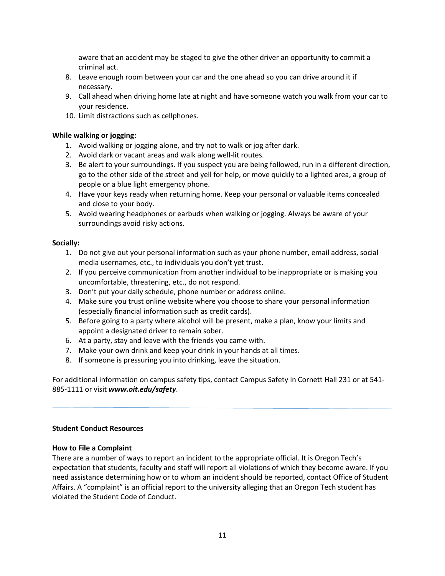aware that an accident may be staged to give the other driver an opportunity to commit a criminal act.

- 8. Leave enough room between your car and the one ahead so you can drive around it if necessary.
- 9. Call ahead when driving home late at night and have someone watch you walk from your car to your residence.
- 10. Limit distractions such as cellphones.

# **While walking or jogging:**

- 1. Avoid walking or jogging alone, and try not to walk or jog after dark.
- 2. Avoid dark or vacant areas and walk along well-lit routes.
- 3. Be alert to your surroundings. If you suspect you are being followed, run in a different direction, go to the other side of the street and yell for help, or move quickly to a lighted area, a group of people or a blue light emergency phone.
- 4. Have your keys ready when returning home. Keep your personal or valuable items concealed and close to your body.
- 5. Avoid wearing headphones or earbuds when walking or jogging. Always be aware of your surroundings avoid risky actions.

### **Socially:**

- 1. Do not give out your personal information such as your phone number, email address, social media usernames, etc., to individuals you don't yet trust.
- 2. If you perceive communication from another individual to be inappropriate or is making you uncomfortable, threatening, etc., do not respond.
- 3. Don't put your daily schedule, phone number or address online.
- 4. Make sure you trust online website where you choose to share your personal information (especially financial information such as credit cards).
- 5. Before going to a party where alcohol will be present, make a plan, know your limits and appoint a designated driver to remain sober.
- 6. At a party, stay and leave with the friends you came with.
- 7. Make your own drink and keep your drink in your hands at all times.
- 8. If someone is pressuring you into drinking, leave the situation.

For additional information on campus safety tips, contact Campus Safety in Cornett Hall 231 or at 541- 885-1111 or visit *www.oit.edu/safety*.

### **Student Conduct Resources**

### **How to File a Complaint**

There are a number of ways to report an incident to the appropriate official. It is Oregon Tech's expectation that students, faculty and staff will report all violations of which they become aware. If you need assistance determining how or to whom an incident should be reported, contact Office of Student Affairs. A "complaint" is an official report to the university alleging that an Oregon Tech student has violated the Student Code of Conduct.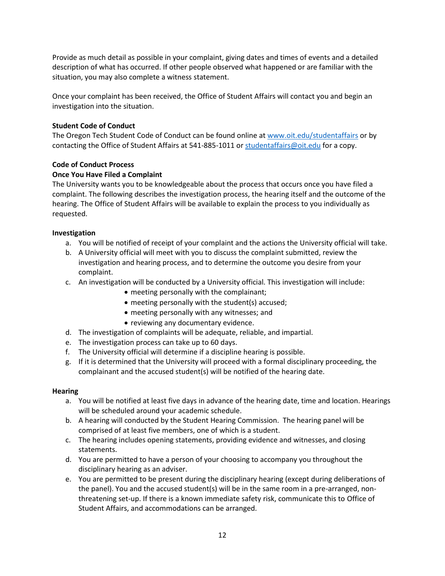Provide as much detail as possible in your complaint, giving dates and times of events and a detailed description of what has occurred. If other people observed what happened or are familiar with the situation, you may also complete a witness statement.

Once your complaint has been received, the Office of Student Affairs will contact you and begin an investigation into the situation.

# **Student Code of Conduct**

The Oregon Tech Student Code of Conduct can be found online at [www.oit.edu/studentaffairs](http://www.oit.edu/studentaffairs) or by contacting the Office of Student Affairs at 541-885-1011 o[r studentaffairs@oit.edu](mailto:studentaffairs@oit.edu) for a copy.

# **Code of Conduct Process**

# **Once You Have Filed a Complaint**

The University wants you to be knowledgeable about the process that occurs once you have filed a complaint. The following describes the investigation process, the hearing itself and the outcome of the hearing. The Office of Student Affairs will be available to explain the process to you individually as requested.

# **Investigation**

- a. You will be notified of receipt of your complaint and the actions the University official will take.
- b. A University official will meet with you to discuss the complaint submitted, review the investigation and hearing process, and to determine the outcome you desire from your complaint.
- c. An investigation will be conducted by a University official. This investigation will include:
	- meeting personally with the complainant;
	- meeting personally with the student(s) accused;
	- meeting personally with any witnesses; and
	- reviewing any documentary evidence.
- d. The investigation of complaints will be adequate, reliable, and impartial.
- e. The investigation process can take up to 60 days.
- f. The University official will determine if a discipline hearing is possible.
- g. If it is determined that the University will proceed with a formal disciplinary proceeding, the complainant and the accused student(s) will be notified of the hearing date.

### **Hearing**

- a. You will be notified at least five days in advance of the hearing date, time and location. Hearings will be scheduled around your academic schedule.
- b. A hearing will conducted by the Student Hearing Commission. The hearing panel will be comprised of at least five members, one of which is a student.
- c. The hearing includes opening statements, providing evidence and witnesses, and closing statements.
- d. You are permitted to have a person of your choosing to accompany you throughout the disciplinary hearing as an adviser.
- e. You are permitted to be present during the disciplinary hearing (except during deliberations of the panel). You and the accused student(s) will be in the same room in a pre-arranged, nonthreatening set-up. If there is a known immediate safety risk, communicate this to Office of Student Affairs, and accommodations can be arranged.